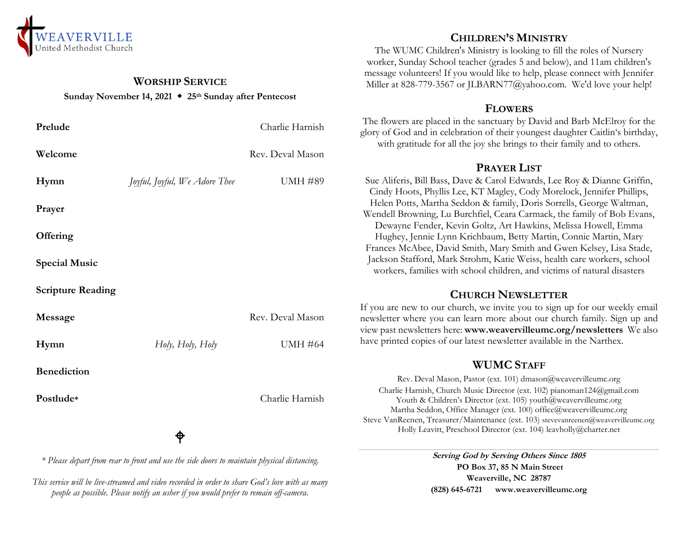

#### **WORSHIP SERVICE Sunday November 14, 2021 25th Sunday after Pentecost**

| Prelude                  |                               | Charlie Harnish  |
|--------------------------|-------------------------------|------------------|
| Welcome                  |                               | Rev. Deval Mason |
| Hymn                     | Joyful, Joyful, We Adore Thee | <b>UMH #89</b>   |
| Prayer                   |                               |                  |
| Offering                 |                               |                  |
| <b>Special Music</b>     |                               |                  |
| <b>Scripture Reading</b> |                               |                  |
| Message                  |                               | Rev. Deval Mason |
| Hymn                     | Holy, Holy, Holy              | <b>UMH #64</b>   |
| <b>Benediction</b>       |                               |                  |
| Postlude*                |                               | Charlie Harnish  |
|                          | ⊕                             |                  |

*\* Please depart from rear to front and use the side doors to maintain physical distancing.*

*This service will be live-streamed and video recorded in order to share God's love with as many people as possible. Please notify an usher if you would prefer to remain off-camera.*

# **CHILDREN'S MINISTRY**

The WUMC Children's Ministry is looking to fill the roles of Nursery worker, Sunday School teacher (grades 5 and below), and 11am children's message volunteers! If you would like to help, please connect with Jennifer Miller at 828-779-3567 or JLBARN77@yahoo.com. We'd love your help!

#### **FLOWERS**

The flowers are placed in the sanctuary by David and Barb McElroy for the glory of God and in celebration of their youngest daughter Caitlin's birthday, with gratitude for all the joy she brings to their family and to others.

### **PRAYER LIST**

Sue Aliferis, Bill Bass, Dave & Carol Edwards, Lee Roy & Dianne Griffin, Cindy Hoots, Phyllis Lee, KT Magley, Cody Morelock, Jennifer Phillips, Helen Potts, Martha Seddon & family, Doris Sorrells, George Waltman, Wendell Browning, Lu Burchfiel, Ceara Carmack, the family of Bob Evans, Dewayne Fender, Kevin Goltz, Art Hawkins, Melissa Howell, Emma Hughey, Jennie Lynn Krichbaum, Betty Martin, Connie Martin, Mary Frances McAbee, David Smith, Mary Smith and Gwen Kelsey, Lisa Stade, Jackson Stafford, Mark Strohm, Katie Weiss, health care workers, school workers, families with school children, and victims of natural disasters

## **CHURCH NEWSLETTER**

If you are new to our church, we invite you to sign up for our weekly email newsletter where you can learn more about our church family. Sign up and view past newsletters here: **www.weavervilleumc.org/newsletters** We also have printed copies of our latest newsletter available in the Narthex.

## **WUMC STAFF**

Rev. Deval Mason, Pastor (ext. 101) dmason@weavervilleumc.org Charlie Harnish, Church Music Director (ext. 102) pianoman124@gmail.com Youth & Children's Director (ext. 105) youth@weavervilleumc.org Martha Seddon, Office Manager (ext. 100) office@weavervilleumc.org Steve VanReenen, Treasurer/Maintenance (ext. 103) stevevanreenen@weavervilleumc.org Holly Leavitt, Preschool Director (ext. 104) leavholly@charter.net

> **Serving God by Serving Others Since 1805 PO Box 37, 85 N Main Street Weaverville, NC 28787 (828) 645-6721 [www.weavervilleumc.org](http://www.weavervilleumc.org/)**